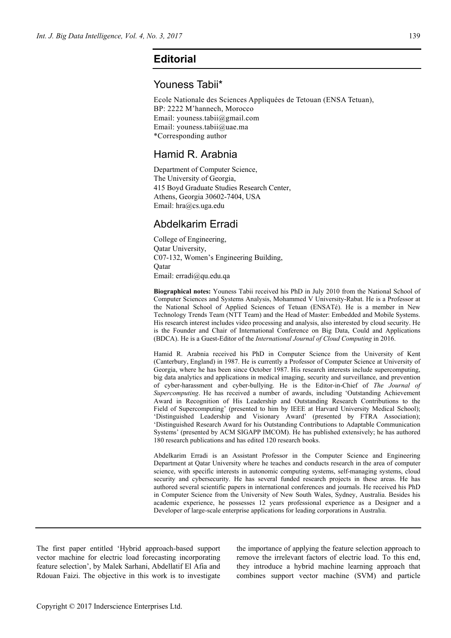## **Editorial**

## Youness Tabii\*

Ecole Nationale des Sciences Appliquées de Tetouan (ENSA Tetuan), BP: 2222 M'hannech, Morocco Email: youness.tabii@gmail.com Email: youness.tabii@uae.ma \*Corresponding author

## Hamid R. Arabnia

Department of Computer Science, The University of Georgia, 415 Boyd Graduate Studies Research Center, Athens, Georgia 30602-7404, USA Email: hra@cs.uga.edu

## Abdelkarim Erradi

College of Engineering, Qatar University, C07-132, Women's Engineering Building, Qatar Email: erradi@qu.edu.qa

**Biographical notes:** Youness Tabii received his PhD in July 2010 from the National School of Computer Sciences and Systems Analysis, Mohammed V University-Rabat. He is a Professor at the National School of Applied Sciences of Tetuan (ENSATé). He is a member in New Technology Trends Team (NTT Team) and the Head of Master: Embedded and Mobile Systems. His research interest includes video processing and analysis, also interested by cloud security. He is the Founder and Chair of International Conference on Big Data, Could and Applications (BDCA). He is a Guest-Editor of the *International Journal of Cloud Computing* in 2016.

Hamid R. Arabnia received his PhD in Computer Science from the University of Kent (Canterbury, England) in 1987. He is currently a Professor of Computer Science at University of Georgia, where he has been since October 1987. His research interests include supercomputing, big data analytics and applications in medical imaging, security and surveillance, and prevention of cyber-harassment and cyber-bullying. He is the Editor-in-Chief of *The Journal of Supercomputing*. He has received a number of awards, including 'Outstanding Achievement Award in Recognition of His Leadership and Outstanding Research Contributions to the Field of Supercomputing' (presented to him by IEEE at Harvard University Medical School); 'Distinguished Leadership and Visionary Award' (presented by FTRA Association); 'Distinguished Research Award for his Outstanding Contributions to Adaptable Communication Systems' (presented by ACM SIGAPP IMCOM). He has published extensively; he has authored 180 research publications and has edited 120 research books.

Abdelkarim Erradi is an Assistant Professor in the Computer Science and Engineering Department at Qatar University where he teaches and conducts research in the area of computer science, with specific interests in autonomic computing systems, self-managing systems, cloud security and cybersecurity. He has several funded research projects in these areas. He has authored several scientific papers in international conferences and journals. He received his PhD in Computer Science from the University of New South Wales, Sydney, Australia. Besides his academic experience, he possesses 12 years professional experience as a Designer and a Developer of large-scale enterprise applications for leading corporations in Australia.

The first paper entitled 'Hybrid approach-based support vector machine for electric load forecasting incorporating feature selection', by Malek Sarhani, Abdellatif El Afia and Rdouan Faizi. The objective in this work is to investigate

the importance of applying the feature selection approach to remove the irrelevant factors of electric load. To this end, they introduce a hybrid machine learning approach that combines support vector machine (SVM) and particle